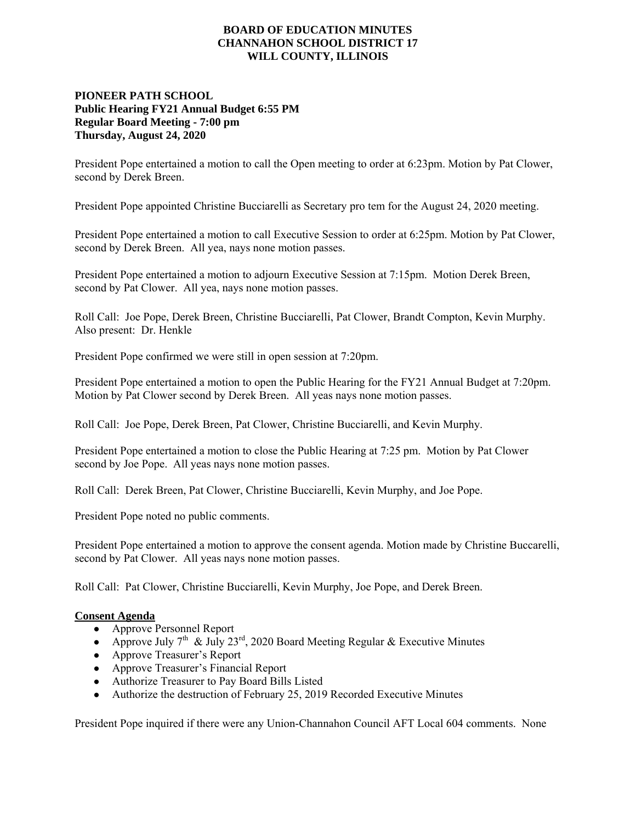## **BOARD OF EDUCATION MINUTES CHANNAHON SCHOOL DISTRICT 17 WILL COUNTY, ILLINOIS**

## **PIONEER PATH SCHOOL Public Hearing FY21 Annual Budget 6:55 PM Regular Board Meeting - 7:00 pm Thursday, August 24, 2020**

President Pope entertained a motion to call the Open meeting to order at 6:23pm. Motion by Pat Clower, second by Derek Breen.

President Pope appointed Christine Bucciarelli as Secretary pro tem for the August 24, 2020 meeting.

President Pope entertained a motion to call Executive Session to order at 6:25pm. Motion by Pat Clower, second by Derek Breen. All yea, nays none motion passes.

President Pope entertained a motion to adjourn Executive Session at 7:15pm. Motion Derek Breen, second by Pat Clower. All yea, nays none motion passes.

Roll Call: Joe Pope, Derek Breen, Christine Bucciarelli, Pat Clower, Brandt Compton, Kevin Murphy. Also present: Dr. Henkle

President Pope confirmed we were still in open session at 7:20pm.

President Pope entertained a motion to open the Public Hearing for the FY21 Annual Budget at 7:20pm. Motion by Pat Clower second by Derek Breen. All yeas nays none motion passes.

Roll Call: Joe Pope, Derek Breen, Pat Clower, Christine Bucciarelli, and Kevin Murphy.

President Pope entertained a motion to close the Public Hearing at 7:25 pm. Motion by Pat Clower second by Joe Pope. All yeas nays none motion passes.

Roll Call: Derek Breen, Pat Clower, Christine Bucciarelli, Kevin Murphy, and Joe Pope.

President Pope noted no public comments.

President Pope entertained a motion to approve the consent agenda. Motion made by Christine Buccarelli, second by Pat Clower. All yeas nays none motion passes.

Roll Call: Pat Clower, Christine Bucciarelli, Kevin Murphy, Joe Pope, and Derek Breen.

## **Consent Agenda**

- Approve Personnel Report
- Approve July 7<sup>th</sup> & July 23<sup>rd</sup>, 2020 Board Meeting Regular & Executive Minutes
- Approve Treasurer's Report
- Approve Treasurer's Financial Report
- Authorize Treasurer to Pay Board Bills Listed
- Authorize the destruction of February 25, 2019 Recorded Executive Minutes

President Pope inquired if there were any Union-Channahon Council AFT Local 604 comments. None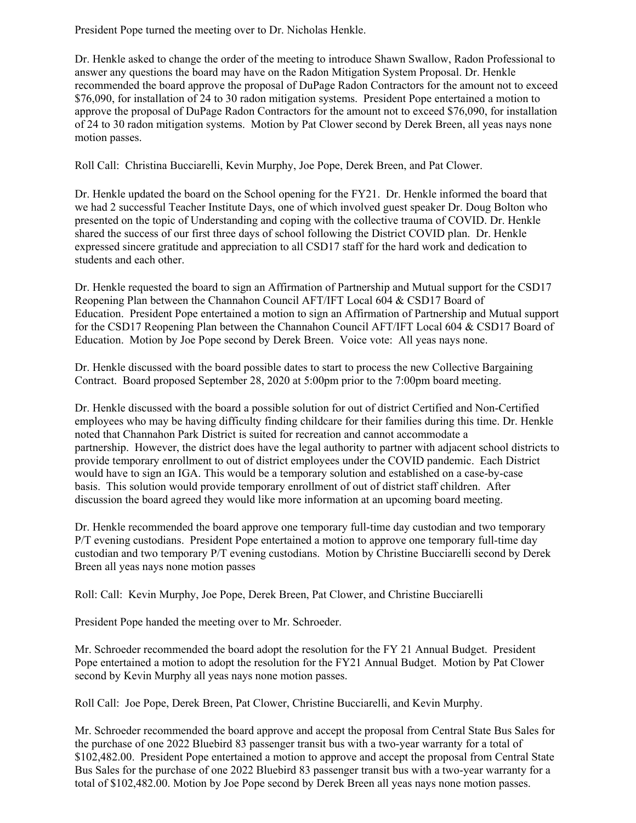President Pope turned the meeting over to Dr. Nicholas Henkle.

Dr. Henkle asked to change the order of the meeting to introduce Shawn Swallow, Radon Professional to answer any questions the board may have on the Radon Mitigation System Proposal. Dr. Henkle recommended the board approve the proposal of DuPage Radon Contractors for the amount not to exceed \$76,090, for installation of 24 to 30 radon mitigation systems. President Pope entertained a motion to approve the proposal of DuPage Radon Contractors for the amount not to exceed \$76,090, for installation of 24 to 30 radon mitigation systems. Motion by Pat Clower second by Derek Breen, all yeas nays none motion passes.

Roll Call: Christina Bucciarelli, Kevin Murphy, Joe Pope, Derek Breen, and Pat Clower.

Dr. Henkle updated the board on the School opening for the FY21. Dr. Henkle informed the board that we had 2 successful Teacher Institute Days, one of which involved guest speaker Dr. Doug Bolton who presented on the topic of Understanding and coping with the collective trauma of COVID. Dr. Henkle shared the success of our first three days of school following the District COVID plan. Dr. Henkle expressed sincere gratitude and appreciation to all CSD17 staff for the hard work and dedication to students and each other.

Dr. Henkle requested the board to sign an Affirmation of Partnership and Mutual support for the CSD17 Reopening Plan between the Channahon Council AFT/IFT Local 604 & CSD17 Board of Education. President Pope entertained a motion to sign an Affirmation of Partnership and Mutual support for the CSD17 Reopening Plan between the Channahon Council AFT/IFT Local 604 & CSD17 Board of Education. Motion by Joe Pope second by Derek Breen. Voice vote: All yeas nays none.

Dr. Henkle discussed with the board possible dates to start to process the new Collective Bargaining Contract. Board proposed September 28, 2020 at 5:00pm prior to the 7:00pm board meeting.

Dr. Henkle discussed with the board a possible solution for out of district Certified and Non-Certified employees who may be having difficulty finding childcare for their families during this time. Dr. Henkle noted that Channahon Park District is suited for recreation and cannot accommodate a partnership. However, the district does have the legal authority to partner with adjacent school districts to provide temporary enrollment to out of district employees under the COVID pandemic. Each District would have to sign an IGA. This would be a temporary solution and established on a case-by-case basis. This solution would provide temporary enrollment of out of district staff children. After discussion the board agreed they would like more information at an upcoming board meeting.

Dr. Henkle recommended the board approve one temporary full-time day custodian and two temporary P/T evening custodians. President Pope entertained a motion to approve one temporary full-time day custodian and two temporary P/T evening custodians. Motion by Christine Bucciarelli second by Derek Breen all yeas nays none motion passes

Roll: Call: Kevin Murphy, Joe Pope, Derek Breen, Pat Clower, and Christine Bucciarelli

President Pope handed the meeting over to Mr. Schroeder.

Mr. Schroeder recommended the board adopt the resolution for the FY 21 Annual Budget. President Pope entertained a motion to adopt the resolution for the FY21 Annual Budget. Motion by Pat Clower second by Kevin Murphy all yeas nays none motion passes.

Roll Call: Joe Pope, Derek Breen, Pat Clower, Christine Bucciarelli, and Kevin Murphy.

Mr. Schroeder recommended the board approve and accept the proposal from Central State Bus Sales for the purchase of one 2022 Bluebird 83 passenger transit bus with a two-year warranty for a total of \$102,482.00. President Pope entertained a motion to approve and accept the proposal from Central State Bus Sales for the purchase of one 2022 Bluebird 83 passenger transit bus with a two-year warranty for a total of \$102,482.00. Motion by Joe Pope second by Derek Breen all yeas nays none motion passes.